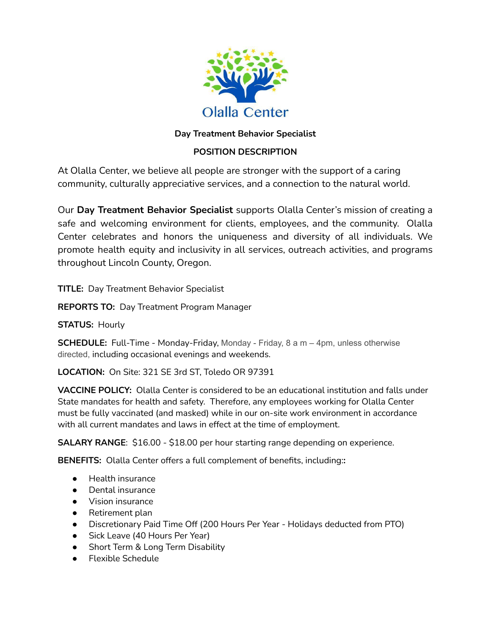

# **Day Treatment Behavior Specialist**

## **POSITION DESCRIPTION**

At Olalla Center, we believe all people are stronger with the support of a caring community, culturally appreciative services, and a connection to the natural world.

Our **Day Treatment Behavior Specialist** supports Olalla Center's mission of creating a safe and welcoming environment for clients, employees, and the community. Olalla Center celebrates and honors the uniqueness and diversity of all individuals. We promote health equity and inclusivity in all services, outreach activities, and programs throughout Lincoln County, Oregon.

**TITLE:** Day Treatment Behavior Specialist

**REPORTS TO:** Day Treatment Program Manager

**STATUS:** Hourly

**SCHEDULE:** Full-Time - Monday-Friday, Monday - Friday, 8 a m – 4pm, unless otherwise directed, including occasional evenings and weekends.

**LOCATION:** On Site: 321 SE 3rd ST, Toledo OR 97391

**VACCINE POLICY:** Olalla Center is considered to be an educational institution and falls under State mandates for health and safety. Therefore, any employees working for Olalla Center must be fully vaccinated (and masked) while in our on-site work environment in accordance with all current mandates and laws in effect at the time of employment.

**SALARY RANGE**: \$16.00 - \$18.00 per hour starting range depending on experience.

**BENEFITS:** Olalla Center offers a full complement of benefits, including:**:**

- Health insurance
- Dental insurance
- Vision insurance
- Retirement plan
- Discretionary Paid Time Off (200 Hours Per Year Holidays deducted from PTO)
- Sick Leave (40 Hours Per Year)
- Short Term & Long Term Disability
- Flexible Schedule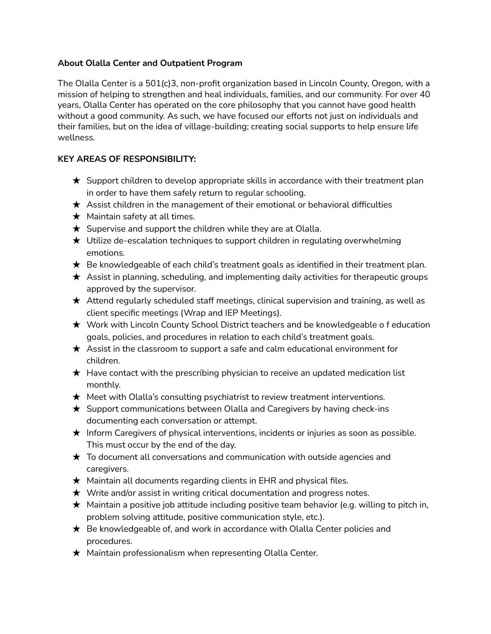#### **About Olalla Center and Outpatient Program**

The Olalla Center is a 501(c)3, non-profit organization based in Lincoln County, Oregon, with a mission of helping to strengthen and heal individuals, families, and our community. For over 40 years, Olalla Center has operated on the core philosophy that you cannot have good health without a good community. As such, we have focused our efforts not just on individuals and their families, but on the idea of village-building; creating social supports to help ensure life wellness.

### **KEY AREAS OF RESPONSIBILITY:**

- $\star$  Support children to develop appropriate skills in accordance with their treatment plan in order to have them safely return to regular schooling.
- $\star$  Assist children in the management of their emotional or behavioral difficulties
- $\star$  Maintain safety at all times.
- $\star$  Supervise and support the children while they are at Olalla.
- $\star$  Utilize de-escalation techniques to support children in regulating overwhelming emotions.
- $\star$  Be knowledgeable of each child's treatment goals as identified in their treatment plan.
- ★ Assist in planning, scheduling, and implementing daily activities for therapeutic groups approved by the supervisor.
- $\star$  Attend regularly scheduled staff meetings, clinical supervision and training, as well as client specific meetings (Wrap and IEP Meetings).
- ★ Work with Lincoln County School District teachers and be knowledgeable o f education goals, policies, and procedures in relation to each child's treatment goals.
- $\star$  Assist in the classroom to support a safe and calm educational environment for children.
- $\star$  Have contact with the prescribing physician to receive an updated medication list monthly.
- $\star$  Meet with Olalla's consulting psychiatrist to review treatment interventions.
- ★ Support communications between Olalla and Caregivers by having check-ins documenting each conversation or attempt.
- ★ Inform Caregivers of physical interventions, incidents or injuries as soon as possible. This must occur by the end of the day.
- $\star$  To document all conversations and communication with outside agencies and caregivers.
- $\star$  Maintain all documents regarding clients in EHR and physical files.
- ★ Write and/or assist in writing critical documentation and progress notes.
- $\star$  Maintain a positive job attitude including positive team behavior (e.g. willing to pitch in, problem solving attitude, positive communication style, etc.).
- $\star$  Be knowledgeable of, and work in accordance with Olalla Center policies and procedures.
- $\star$  Maintain professionalism when representing Olalla Center.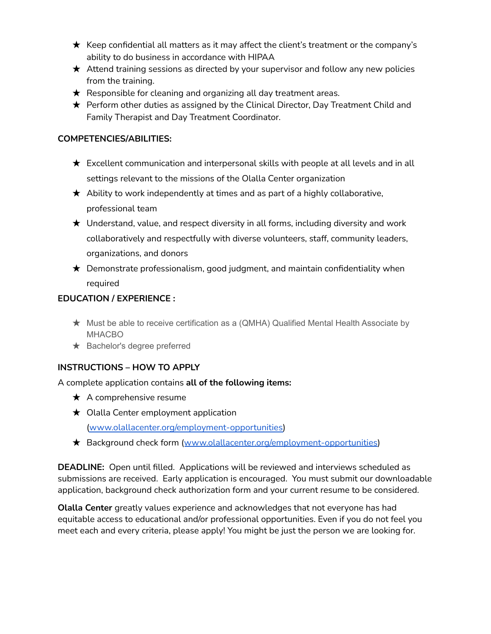- $\star$  Keep confidential all matters as it may affect the client's treatment or the company's ability to do business in accordance with HIPAA
- ★ Attend training sessions as directed by your supervisor and follow any new policies from the training.
- $\star$  Responsible for cleaning and organizing all day treatment areas.
- ★ Perform other duties as assigned by the Clinical Director, Day Treatment Child and Family Therapist and Day Treatment Coordinator.

## **COMPETENCIES/ABILITIES:**

- $\star$  Excellent communication and interpersonal skills with people at all levels and in all settings relevant to the missions of the Olalla Center organization
- $\star$  Ability to work independently at times and as part of a highly collaborative, professional team
- ★ Understand, value, and respect diversity in all forms, including diversity and work collaboratively and respectfully with diverse volunteers, staff, community leaders, organizations, and donors
- $\star$  Demonstrate professionalism, good judgment, and maintain confidentiality when required

### **EDUCATION / EXPERIENCE :**

- ★ Must be able to receive certification as a (QMHA) Qualified Mental Health Associate by MHACBO
- ★ Bachelor's degree preferred

## **INSTRUCTIONS – HOW TO APPLY**

A complete application contains **all of the following items:**

- $\star$  A comprehensive resume
- $\star$  Olalla Center employment application [\(www.olallacenter.org/employment-opportunities\)](http://www.olallacenter.org/employment-opportunities)
- ★ Background check form ([www.olallacenter.org/employment-opportunities\)](http://www.olallacenter.org/employment-opportunities)

**DEADLINE:** Open until filled. Applications will be reviewed and interviews scheduled as submissions are received. Early application is encouraged. You must submit our downloadable application, background check authorization form and your current resume to be considered.

**Olalla Center** greatly values experience and acknowledges that not everyone has had equitable access to educational and/or professional opportunities. Even if you do not feel you meet each and every criteria, please apply! You might be just the person we are looking for.